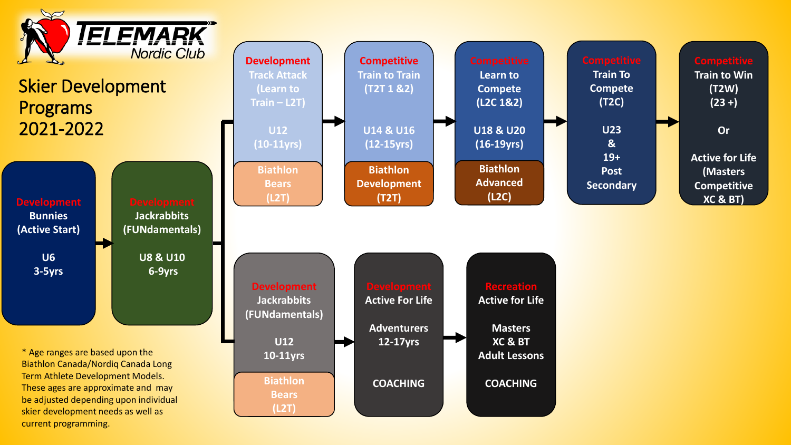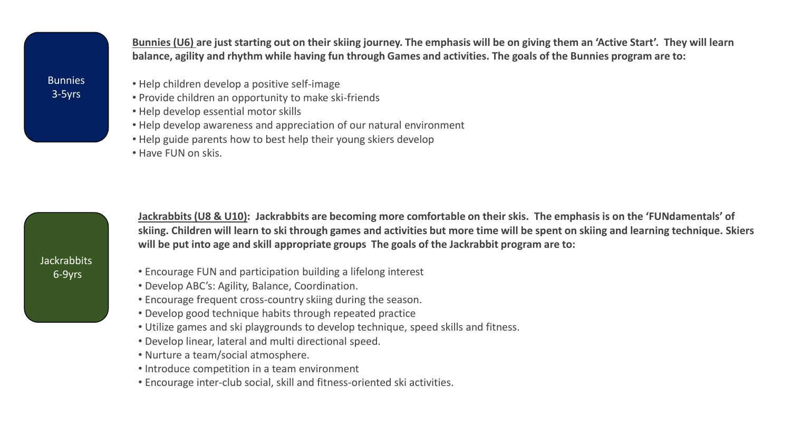**Bunnies (U6) are just starting out on their skiing journey. The emphasis will be on giving them an 'Active Start'. They will learn balance, agility and rhythm while having fun through Games and activities. The goals of the Bunnies program are to:**

- Help children develop a positive self-image
- Provide children an opportunity to make ski-friends
- Help develop essential motor skills
- Help develop awareness and appreciation of our natural environment
- Help guide parents how to best help their young skiers develop
- Have FUN on skis.

**Jackrabbits** 6-9yrs

**Jackrabbits (U8 & U10): Jackrabbits are becoming more comfortable on their skis. The emphasis is on the 'FUNdamentals' of skiing. Children will learn to ski through games and activities but more time will be spent on skiing and learning technique. Skiers will be put into age and skill appropriate groups The goals of the Jackrabbit program are to:**

- Encourage FUN and participation building a lifelong interest
- Develop ABC's: Agility, Balance, Coordination.
- Encourage frequent cross-country skiing during the season.
- Develop good technique habits through repeated practice
- Utilize games and ski playgrounds to develop technique, speed skills and fitness.
- Develop linear, lateral and multi directional speed.
- Nurture a team/social atmosphere.
- Introduce competition in a team environment
- Encourage inter-club social, skill and fitness-oriented ski activities.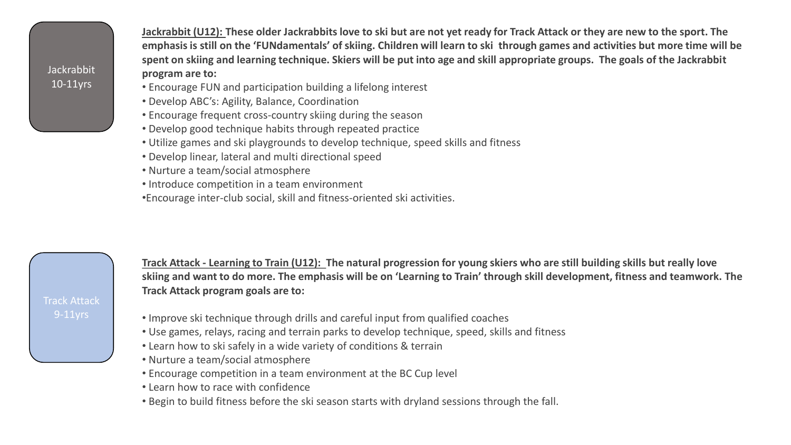**Jackrabbit** 10-11yrs

**Jackrabbit (U12): These older Jackrabbits love to ski but are not yet ready for Track Attack or they are new to the sport. The emphasis is still on the 'FUNdamentals' of skiing. Children will learn to ski through games and activities but more time will be spent on skiing and learning technique. Skiers will be put into age and skill appropriate groups. The goals of the Jackrabbit program are to:**

- Encourage FUN and participation building a lifelong interest
- Develop ABC's: Agility, Balance, Coordination
- Encourage frequent cross-country skiing during the season
- Develop good technique habits through repeated practice
- Utilize games and ski playgrounds to develop technique, speed skills and fitness
- Develop linear, lateral and multi directional speed
- Nurture a team/social atmosphere
- Introduce competition in a team environment
- •Encourage inter-club social, skill and fitness-oriented ski activities.

Track Attack

**Track Attack - Learning to Train (U12): The natural progression for young skiers who are still building skills but really love skiing and want to do more. The emphasis will be on 'Learning to Train' through skill development, fitness and teamwork. The Track Attack program goals are to:**

- Improve ski technique through drills and careful input from qualified coaches
- Use games, relays, racing and terrain parks to develop technique, speed, skills and fitness
- Learn how to ski safely in a wide variety of conditions & terrain
- Nurture a team/social atmosphere
- Encourage competition in a team environment at the BC Cup level
- Learn how to race with confidence
- Begin to build fitness before the ski season starts with dryland sessions through the fall.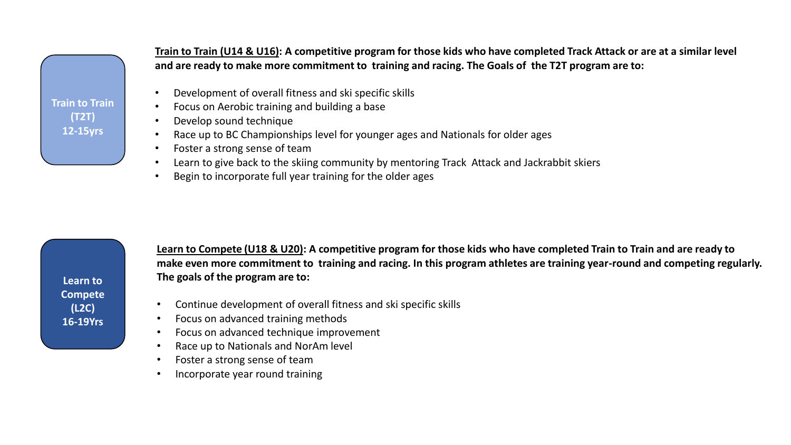**Train to Train (T2T) 12-15yrs**

**Train to Train (U14 & U16): A competitive program for those kids who have completed Track Attack or are at a similar level and are ready to make more commitment to training and racing. The Goals of the T2T program are to:**

- Development of overall fitness and ski specific skills
- Focus on Aerobic training and building a base
- Develop sound technique
- Race up to BC Championships level for younger ages and Nationals for older ages
- Foster a strong sense of team
- Learn to give back to the skiing community by mentoring Track Attack and Jackrabbit skiers
- Begin to incorporate full year training for the older ages

**Learn to Compete (L2C) 16-19Yrs**

**Learn to Compete (U18 & U20): A competitive program for those kids who have completed Train to Train and are ready to make even more commitment to training and racing. In this program athletes are training year-round and competing regularly. The goals of the program are to:**

- Continue development of overall fitness and ski specific skills
- Focus on advanced training methods
- Focus on advanced technique improvement
- Race up to Nationals and NorAm level
- Foster a strong sense of team
- Incorporate year round training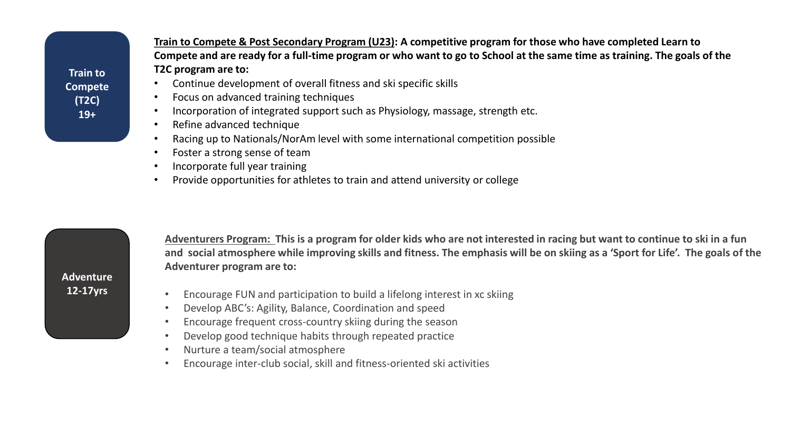**Train to Compete (T2C) 19+**

**Train to Compete & Post Secondary Program (U23): A competitive program for those who have completed Learn to Compete and are ready for a full-time program or who want to go to School at the same time as training. The goals of the T2C program are to:**

- Continue development of overall fitness and ski specific skills
- Focus on advanced training techniques
- Incorporation of integrated support such as Physiology, massage, strength etc.
- Refine advanced technique
- Racing up to Nationals/NorAm level with some international competition possible
- Foster a strong sense of team
- Incorporate full year training
- Provide opportunities for athletes to train and attend university or college



**Adventurers Program: This is a program for older kids who are not interested in racing but want to continue to ski in a fun and social atmosphere while improving skills and fitness. The emphasis will be on skiing as a 'Sport for Life'. The goals of the Adventurer program are to:**

- Encourage FUN and participation to build a lifelong interest in xc skiing
- Develop ABC's: Agility, Balance, Coordination and speed
- Encourage frequent cross-country skiing during the season
- Develop good technique habits through repeated practice
- Nurture a team/social atmosphere
- Encourage inter-club social, skill and fitness-oriented ski activities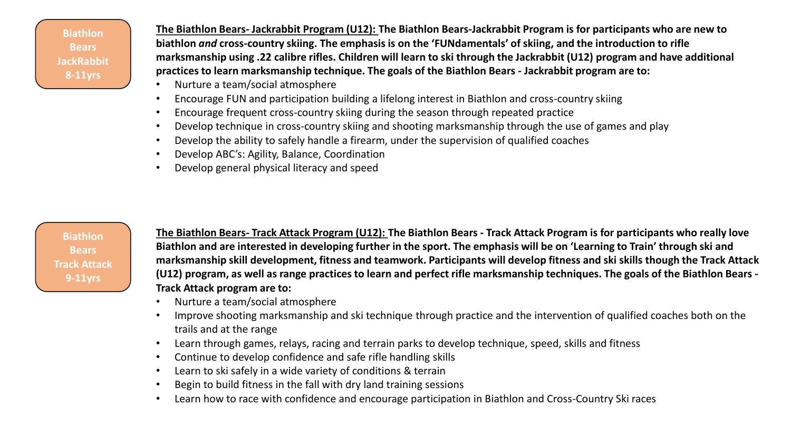**Biathlon Bears JackRabbit 8-11yrs**

**The Biathlon Bears- Jackrabbit Program (U12): The Biathlon Bears-Jackrabbit Program is for participants who are new to biathlon** *and* **cross-country skiing. The emphasis is on the 'FUNdamentals' of skiing, and the introduction to rifle marksmanship using .22 calibre rifles. Children will learn to ski through the Jackrabbit (U12) program and have additional practices to learn marksmanship technique. The goals of the Biathlon Bears - Jackrabbit program are to:**

- Nurture a team/social atmosphere
- Encourage FUN and participation building a lifelong interest in Biathlon and cross-country skiing
- Encourage frequent cross-country skiing during the season through repeated practice
- Develop technique in cross-country skiing and shooting marksmanship through the use of games and play
- Develop the ability to safely handle a firearm, under the supervision of qualified coaches
- Develop ABC's: Agility, Balance, Coordination
- Develop general physical literacy and speed

**Biathlon Bears Track Attack 9-11yrs**

**The Biathlon Bears- Track Attack Program (U12): The Biathlon Bears - Track Attack Program is for participants who really love Biathlon and are interested in developing further in the sport. The emphasis will be on 'Learning to Train' through ski and marksmanship skill development, fitness and teamwork. Participants will develop fitness and ski skills though the Track Attack (U12) program, as well as range practices to learn and perfect rifle marksmanship techniques. The goals of the Biathlon Bears - Track Attack program are to:**

- Nurture a team/social atmosphere
- Improve shooting marksmanship and ski technique through practice and the intervention of qualified coaches both on the trails and at the range
- Learn through games, relays, racing and terrain parks to develop technique, speed, skills and fitness
- Continue to develop confidence and safe rifle handling skills
- Learn to ski safely in a wide variety of conditions & terrain
- Begin to build fitness in the fall with dry land training sessions
- Learn how to race with confidence and encourage participation in Biathlon and Cross-Country Ski races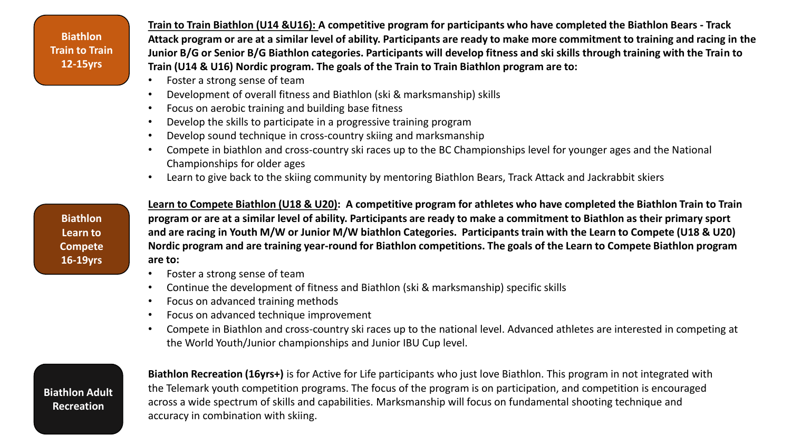**Biathlon Train to Train 12-15yrs**

**Train to Train Biathlon (U14 &U16): A competitive program for participants who have completed the Biathlon Bears - Track Attack program or are at a similar level of ability. Participants are ready to make more commitment to training and racing in the Junior B/G or Senior B/G Biathlon categories. Participants will develop fitness and ski skills through training with the Train to Train (U14 & U16) Nordic program. The goals of the Train to Train Biathlon program are to:**

- Foster a strong sense of team
- Development of overall fitness and Biathlon (ski & marksmanship) skills
- Focus on aerobic training and building base fitness
- Develop the skills to participate in a progressive training program
- Develop sound technique in cross-country skiing and marksmanship
- Compete in biathlon and cross-country ski races up to the BC Championships level for younger ages and the National Championships for older ages
- Learn to give back to the skiing community by mentoring Biathlon Bears, Track Attack and Jackrabbit skiers

**Biathlon Learn to Compete 16-19yrs** **Learn to Compete Biathlon (U18 & U20): A competitive program for athletes who have completed the Biathlon Train to Train program or are at a similar level of ability. Participants are ready to make a commitment to Biathlon as their primary sport and are racing in Youth M/W or Junior M/W biathlon Categories. Participants train with the Learn to Compete (U18 & U20) Nordic program and are training year-round for Biathlon competitions. The goals of the Learn to Compete Biathlon program are to:**

- Foster a strong sense of team
- Continue the development of fitness and Biathlon (ski & marksmanship) specific skills
- Focus on advanced training methods
- Focus on advanced technique improvement
- Compete in Biathlon and cross-country ski races up to the national level. Advanced athletes are interested in competing at the World Youth/Junior championships and Junior IBU Cup level.

**Biathlon Adult Recreation** 

**Biathlon Recreation (16yrs+)** is for Active for Life participants who just love Biathlon. This program in not integrated with the Telemark youth competition programs. The focus of the program is on participation, and competition is encouraged across a wide spectrum of skills and capabilities. Marksmanship will focus on fundamental shooting technique and accuracy in combination with skiing.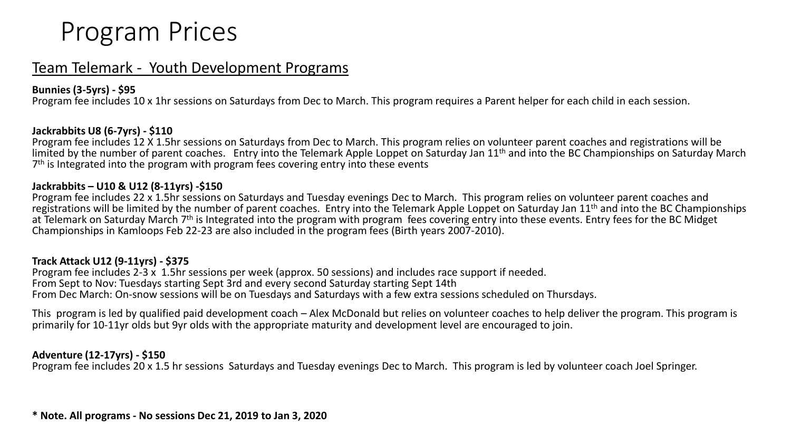# Program Prices

# Team Telemark - Youth Development Programs

## **Bunnies (3-5yrs) - \$95**

Program fee includes 10 x 1hr sessions on Saturdays from Dec to March. This program requires a Parent helper for each child in each session.

#### **Jackrabbits U8 (6-7yrs) - \$110**

Program fee includes 12 X 1.5hr sessions on Saturdays from Dec to March. This program relies on volunteer parent coaches and registrations will be limited by the number of parent coaches. Entry into the Telemark Apple Loppet on Saturday Jan 11<sup>th</sup> and into the BC Championships on Saturday March 7<sup>th</sup> is Integrated into the program with program fees covering entry into these events

#### **Jackrabbits – U10 & U12 (8-11yrs) -\$150**

Program fee includes 22 x 1.5hr sessions on Saturdays and Tuesday evenings Dec to March. This program relies on volunteer parent coaches and registrations will be limited by the number of parent coaches. Entry into the Telemark Apple Loppet on Saturday Jan 11<sup>th</sup> and into the BC Championships at Telemark on Saturday March 7<sup>th</sup> is Integrated into the program with program fees covering entry into these events. Entry fees for the BC Midget Championships in Kamloops Feb 22-23 are also included in the program fees (Birth years 2007-2010).

#### **Track Attack U12 (9-11yrs) - \$375**

Program fee includes 2-3 x 1.5hr sessions per week (approx. 50 sessions) and includes race support if needed. From Sept to Nov: Tuesdays starting Sept 3rd and every second Saturday starting Sept 14th From Dec March: On-snow sessions will be on Tuesdays and Saturdays with a few extra sessions scheduled on Thursdays.

This program is led by qualified paid development coach – Alex McDonald but relies on volunteer coaches to help deliver the program. This program is primarily for 10-11yr olds but 9yr olds with the appropriate maturity and development level are encouraged to join.

## **Adventure (12-17yrs) - \$150**

Program fee includes 20 x 1.5 hr sessions Saturdays and Tuesday evenings Dec to March. This program is led by volunteer coach Joel Springer.

**\* Note. All programs - No sessions Dec 21, 2019 to Jan 3, 2020**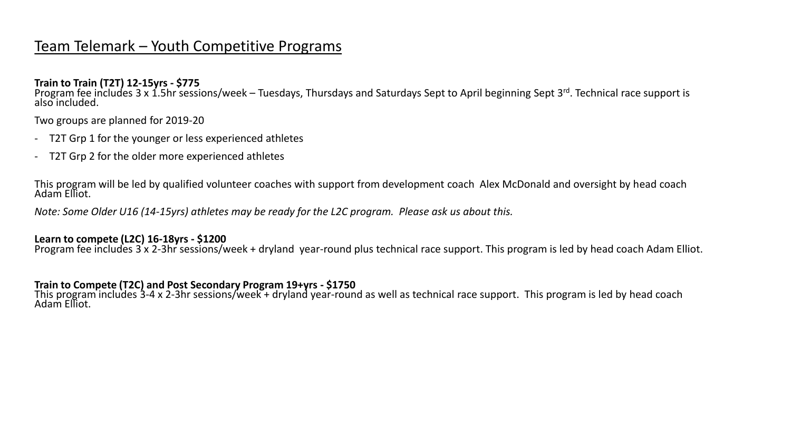# Team Telemark – Youth Competitive Programs

**Train to Train (T2T) 12-15yrs - \$775**

Program fee includes 3 x 1.5hr sessions/week – Tuesdays, Thursdays and Saturdays Sept to April beginning Sept 3<sup>rd</sup>. Technical race support is also included.

Two groups are planned for 2019-20

- T2T Grp 1 for the younger or less experienced athletes
- T2T Grp 2 for the older more experienced athletes

This program will be led by qualified volunteer coaches with support from development coach Alex McDonald and oversight by head coach Adam Elliot.

*Note: Some Older U16 (14-15yrs) athletes may be ready for the L2C program. Please ask us about this.*

## **Learn to compete (L2C) 16-18yrs - \$1200**

Program fee includes 3 x 2-3hr sessions/week + dryland year-round plus technical race support. This program is led by head coach Adam Elliot.

## **Train to Compete (T2C) and Post Secondary Program 19+yrs - \$1750**

This program includes 3-4 x 2-3hr sessions/week + dryland year-round as well as technical race support. This program is led by head coach Adam Elliot.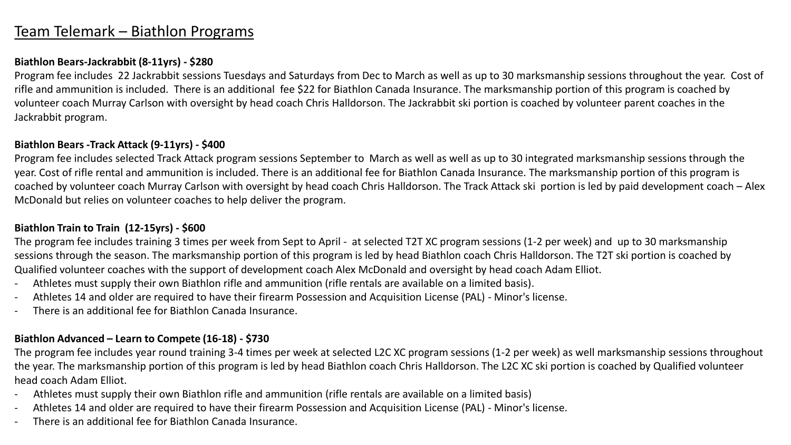# Team Telemark – Biathlon Programs

#### **Biathlon Bears-Jackrabbit (8-11yrs) - \$280**

Program fee includes 22 Jackrabbit sessions Tuesdays and Saturdays from Dec to March as well as up to 30 marksmanship sessions throughout the year. Cost of rifle and ammunition is included. There is an additional fee \$22 for Biathlon Canada Insurance. The marksmanship portion of this program is coached by volunteer coach Murray Carlson with oversight by head coach Chris Halldorson. The Jackrabbit ski portion is coached by volunteer parent coaches in the Jackrabbit program.

#### **Biathlon Bears -Track Attack (9-11yrs) - \$400**

Program fee includes selected Track Attack program sessions September to March as well as well as up to 30 integrated marksmanship sessions through the year. Cost of rifle rental and ammunition is included. There is an additional fee for Biathlon Canada Insurance. The marksmanship portion of this program is coached by volunteer coach Murray Carlson with oversight by head coach Chris Halldorson. The Track Attack ski portion is led by paid development coach – Alex McDonald but relies on volunteer coaches to help deliver the program.

## **Biathlon Train to Train (12-15yrs) - \$600**

The program fee includes training 3 times per week from Sept to April - at selected T2T XC program sessions (1-2 per week) and up to 30 marksmanship sessions through the season. The marksmanship portion of this program is led by head Biathlon coach Chris Halldorson. The T2T ski portion is coached by Qualified volunteer coaches with the support of development coach Alex McDonald and oversight by head coach Adam Elliot.

- Athletes must supply their own Biathlon rifle and ammunition (rifle rentals are available on a limited basis).
- Athletes 14 and older are required to have their firearm Possession and Acquisition License (PAL) Minor's license.
- There is an additional fee for Biathlon Canada Insurance.

#### **Biathlon Advanced – Learn to Compete (16-18) - \$730**

The program fee includes year round training 3-4 times per week at selected L2C XC program sessions (1-2 per week) as well marksmanship sessions throughout the year. The marksmanship portion of this program is led by head Biathlon coach Chris Halldorson. The L2C XC ski portion is coached by Qualified volunteer head coach Adam Elliot.

- Athletes must supply their own Biathlon rifle and ammunition (rifle rentals are available on a limited basis)
- Athletes 14 and older are required to have their firearm Possession and Acquisition License (PAL) Minor's license.
- There is an additional fee for Biathlon Canada Insurance.